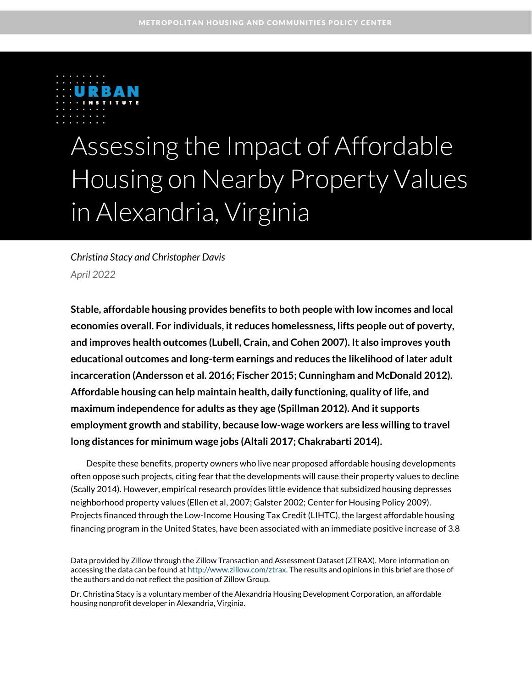

# Assessing the Impact of Affordable Housing on Nearby Property Values in Alexandria, Virginia

*Christina Stacy and Christopher Davis April 2022*

**Stable, affordable housing provides benefits to both people with low incomes and local economies overall. For individuals, it reduces homelessness, lifts people out of poverty, and improves health outcomes (Lubell, Crain, and Cohen 2007). It also improves youth educational outcomes and long-term earnings and reduces the likelihood of later adult incarceration (Andersson et al. 2016; Fischer 2015; Cunningham and McDonald 2012). Affordable housing can help maintain health, daily functioning, quality of life, and maximum independence for adults as they age (Spillman 2012). And it supports employment growth and stability, because low-wage workers are less willing to travel long distances for minimum wage jobs (Altali 2017; Chakrabarti 2014).** 

Despite these benefits, property owners who live near proposed affordable housing developments often oppose such projects, citing fear that the developments will cause their property values to decline (Scally 2014). However, empirical research provides little evidence that subsidized housing depresses neighborhood property values (Ellen et al, 2007; Galster 2002; Center for Housing Policy 2009). Projects financed through the Low-Income Housing Tax Credit (LIHTC), the largest affordable housing financing program in the United States, have been associated with an immediate positive increase of 3.8

Data provided by Zillow through the Zillow Transaction and Assessment Dataset (ZTRAX). More information on accessing the data can be found a[t http://www.zillow.com/ztrax.](http://www.zillow.com/ztrax) The results and opinions in this brief are those of the authors and do not reflect the position of Zillow Group.

Dr. Christina Stacy is a voluntary member of the Alexandria Housing Development Corporation, an affordable housing nonprofit developer in Alexandria, Virginia.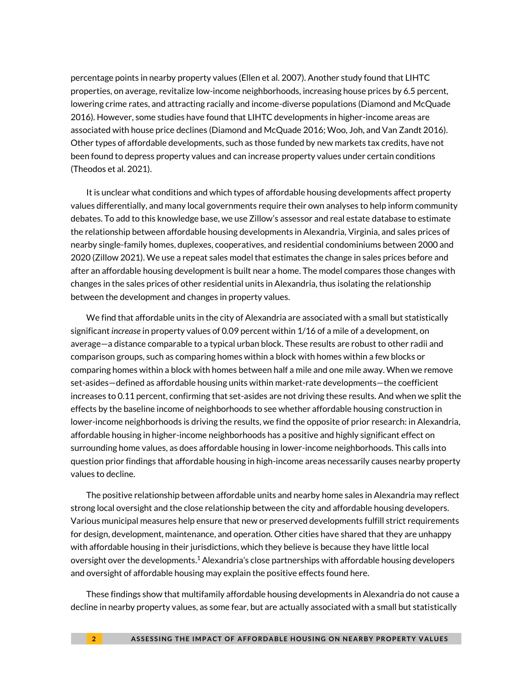percentage points in nearby property values (Ellen et al. 2007). Another study found that LIHTC properties, on average, revitalize low-income neighborhoods, increasing house prices by 6.5 percent, lowering crime rates, and attracting racially and income-diverse populations (Diamond and McQuade 2016). However, some studies have found that LIHTC developments in higher-income areas are associated with house price declines (Diamond and McQuade 2016; Woo, Joh, and Van Zandt 2016). Other types of affordable developments, such as those funded by new markets tax credits, have not been found to depress property values and can increase property values under certain conditions (Theodos et al. 2021).

It is unclear what conditions and which types of affordable housing developments affect property values differentially, and many local governments require their own analyses to help inform community debates. To add to this knowledge base, we use Zillow's assessor and real estate database to estimate the relationship between affordable housing developments in Alexandria, Virginia, and sales prices of nearby single-family homes, duplexes, cooperatives, and residential condominiums between 2000 and 2020 (Zillow 2021). We use a repeat sales model that estimates the change in sales prices before and after an affordable housing development is built near a home. The model compares those changes with changes in the sales prices of other residential units in Alexandria, thus isolating the relationship between the development and changes in property values.

We find that affordable units in the city of Alexandria are associated with a small but statistically significant *increase* in property values of 0.09 percent within 1/16 of a mile of a development, on average—a distance comparable to a typical urban block. These results are robust to other radii and comparison groups, such as comparing homes within a block with homes within a few blocks or comparing homes within a block with homes between half a mile and one mile away. When we remove set-asides—defined as affordable housing units within market-rate developments—the coefficient increases to 0.11 percent, confirming that set-asides are not driving these results. And when we split the effects by the baseline income of neighborhoods to see whether affordable housing construction in lower-income neighborhoods is driving the results, we find the opposite of prior research: in Alexandria, affordable housing in higher-income neighborhoods has a positive and highly significant effect on surrounding home values, as does affordable housing in lower-income neighborhoods. This calls into question prior findings that affordable housing in high-income areas necessarily causes nearby property values to decline.

The positive relationship between affordable units and nearby home sales in Alexandria may reflect strong local oversight and the close relationship between the city and affordable housing developers. Various municipal measures help ensure that new or preserved developments fulfill strict requirements for design, development, maintenance, and operation. Other cities have shared that they are unhappy with affordable housing in their jurisdictions, which they believe is because they have little local oversight over the developments. $^1$  Alexandria's close partnerships with affordable housing developers and oversight of affordable housing may explain the positive effects found here.

These findings show that multifamily affordable housing developments in Alexandria do not cause a decline in nearby property values, as some fear, but are actually associated with a small but statistically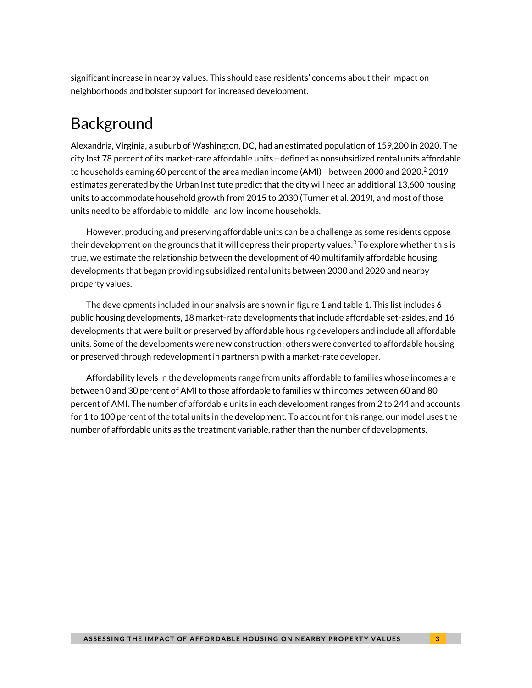significant increase in nearby values. This should ease residents' concerns about their impact on neighborhoods and bolster support for increased development.

# Background

Alexandria, Virginia, a suburb of Washington, DC, had an estimated population of 159,200 in 2020. The city lost 78 percent of its market-rate affordable units—defined as nonsubsidized rental units affordable to households earning 60 percent of the area median income (AMI)—between 2000 and 2020. <sup>2</sup> 2019 estimates generated by the Urban Institute predict that the city will need an additional 13,600 housing units to accommodate household growth from 2015 to 2030 (Turner et al. 2019), and most of those units need to be affordable to middle- and low-income households.

However, producing and preserving affordable units can be a challenge as some residents oppose their development on the grounds that it will depress their property values.<sup>3</sup> To explore whether this is true, we estimate the relationship between the development of 40 multifamily affordable housing developments that began providing subsidized rental units between 2000 and 2020 and nearby property values.

The developments included in our analysis are shown in figure 1 and table 1. This list includes 6 public housing developments, 18 market-rate developments that include affordable set-asides, and 16 developments that were built or preserved by affordable housing developers and include all affordable units. Some of the developments were new construction; others were converted to affordable housing or preserved through redevelopment in partnership with a market-rate developer.

Affordability levels in the developments range from units affordable to families whose incomes are between 0 and 30 percent of AMI to those affordable to families with incomes between 60 and 80 percent of AMI. The number of affordable units in each development ranges from 2 to 244 and accounts for 1 to 100 percent of the total units in the development. To account for this range, our model uses the number of affordable units as the treatment variable, rather than the number of developments.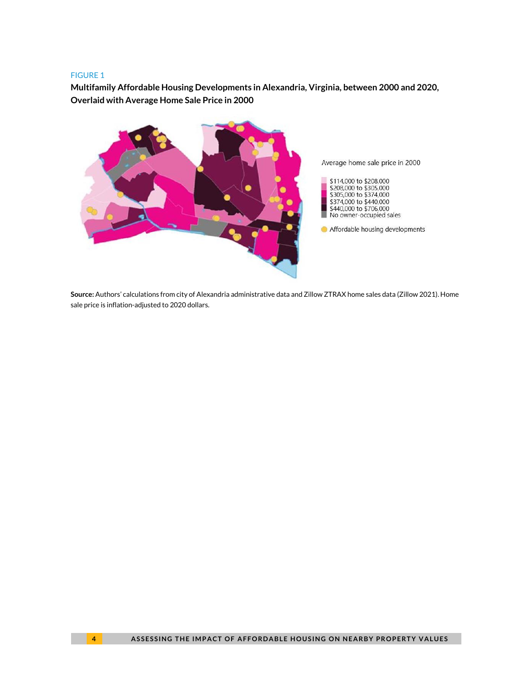#### FIGURE 1

**Multifamily Affordable Housing Developments in Alexandria, Virginia, between 2000 and 2020, Overlaid with Average Home Sale Price in 2000**



**Source:** Authors' calculations from city of Alexandria administrative data and Zillow ZTRAX home sales data (Zillow 2021). Home sale price is inflation-adjusted to 2020 dollars.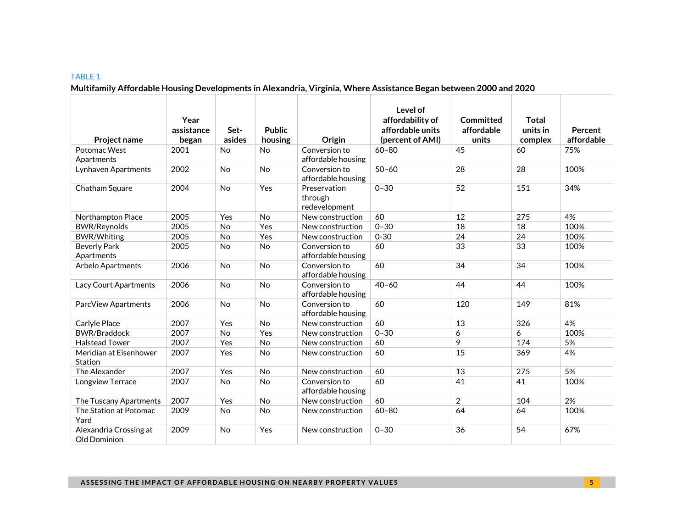### **Multifamily Affordable Housing Developments in Alexandria, Virginia, Where Assistance Began between 2000 and 2020**

| <b>Project name</b>                    | Year<br>assistance<br>began | Set-<br>asides | <b>Public</b><br>housing | Origin                                   | Level of<br>affordability of<br>affordable units<br>(percent of AMI) | Committed<br>affordable<br>units | <b>Total</b><br>units in<br>complex | Percent<br>affordable |
|----------------------------------------|-----------------------------|----------------|--------------------------|------------------------------------------|----------------------------------------------------------------------|----------------------------------|-------------------------------------|-----------------------|
| Potomac West<br>Apartments             | 2001                        | <b>No</b>      | <b>No</b>                | Conversion to<br>affordable housing      | $60 - 80$                                                            | 45                               | 60                                  | 75%                   |
| Lynhaven Apartments                    | 2002                        | <b>No</b>      | <b>No</b>                | Conversion to<br>affordable housing      | $50 - 60$                                                            | 28                               | 28                                  | 100%                  |
| Chatham Square                         | 2004                        | <b>No</b>      | Yes                      | Preservation<br>through<br>redevelopment | $0 - 30$                                                             | 52                               | 151                                 | 34%                   |
| Northampton Place                      | 2005                        | Yes            | No                       | New construction                         | 60                                                                   | 12                               | 275                                 | 4%                    |
| <b>BWR/Reynolds</b>                    | 2005                        | No             | Yes                      | New construction                         | $0 - 30$                                                             | 18                               | 18                                  | 100%                  |
| <b>BWR/Whiting</b>                     | 2005                        | No             | Yes                      | New construction                         | $0 - 30$                                                             | 24                               | 24                                  | 100%                  |
| <b>Beverly Park</b><br>Apartments      | 2005                        | No             | No                       | Conversion to<br>affordable housing      | 60                                                                   | 33                               | 33                                  | 100%                  |
| Arbelo Apartments                      | 2006                        | <b>No</b>      | <b>No</b>                | Conversion to<br>affordable housing      | 60                                                                   | 34                               | 34                                  | 100%                  |
| Lacy Court Apartments                  | 2006                        | <b>No</b>      | No                       | Conversion to<br>affordable housing      | $40 - 60$                                                            | 44                               | 44                                  | 100%                  |
| ParcView Apartments                    | 2006                        | No             | No                       | Conversion to<br>affordable housing      | 60                                                                   | 120                              | 149                                 | 81%                   |
| Carlyle Place                          | 2007                        | Yes            | No                       | New construction                         | 60                                                                   | 13                               | 326                                 | 4%                    |
| <b>BWR/Braddock</b>                    | 2007                        | <b>No</b>      | Yes                      | New construction                         | $0 - 30$                                                             | 6                                | 6                                   | 100%                  |
| <b>Halstead Tower</b>                  | 2007                        | Yes            | No                       | New construction                         | 60                                                                   | 9                                | 174                                 | 5%                    |
| Meridian at Eisenhower<br>Station      | 2007                        | Yes            | <b>No</b>                | New construction                         | 60                                                                   | 15                               | 369                                 | 4%                    |
| The Alexander                          | 2007                        | Yes            | No                       | New construction                         | 60                                                                   | 13                               | 275                                 | 5%                    |
| Longview Terrace                       | 2007                        | <b>No</b>      | No                       | Conversion to<br>affordable housing      | 60                                                                   | 41                               | 41                                  | 100%                  |
| The Tuscany Apartments                 | 2007                        | Yes            | No                       | New construction                         | 60                                                                   | $\overline{2}$                   | 104                                 | 2%                    |
| The Station at Potomac<br>Yard         | 2009                        | <b>No</b>      | No                       | New construction                         | $60 - 80$                                                            | 64                               | 64                                  | 100%                  |
| Alexandria Crossing at<br>Old Dominion | 2009                        | <b>No</b>      | Yes                      | New construction                         | $0 - 30$                                                             | 36                               | 54                                  | 67%                   |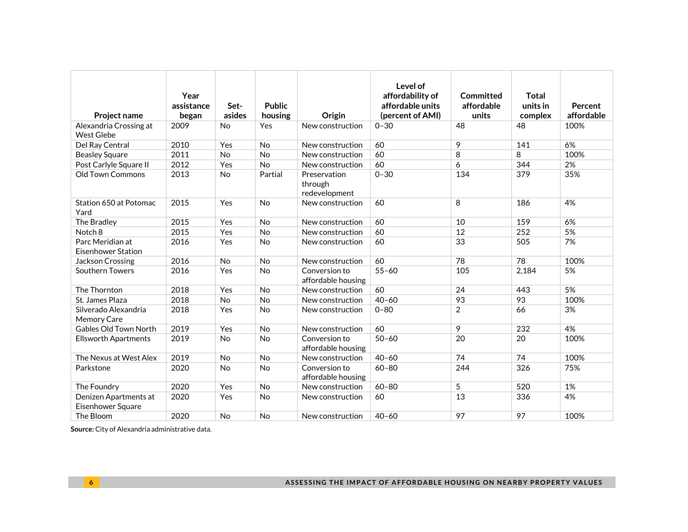| <b>Project name</b>                         | Year<br>assistance<br>began | Set-<br>asides | <b>Public</b><br>housing | Origin                                   | Level of<br>affordability of<br>affordable units<br>(percent of AMI) | Committed<br>affordable<br>units | <b>Total</b><br>units in<br>complex | Percent<br>affordable |
|---------------------------------------------|-----------------------------|----------------|--------------------------|------------------------------------------|----------------------------------------------------------------------|----------------------------------|-------------------------------------|-----------------------|
| Alexandria Crossing at<br><b>West Glebe</b> | 2009                        | <b>No</b>      | Yes                      | New construction                         | $0 - 30$                                                             | 48                               | 48                                  | 100%                  |
| Del Ray Central                             | 2010                        | Yes            | <b>No</b>                | New construction                         | 60                                                                   | 9                                | 141                                 | 6%                    |
| <b>Beasley Square</b>                       | 2011                        | No             | No                       | New construction                         | 60                                                                   | 8                                | 8                                   | 100%                  |
| Post Carlyle Square II                      | 2012                        | Yes            | No                       | New construction                         | 60                                                                   | 6                                | 344                                 | 2%                    |
| <b>Old Town Commons</b>                     | 2013                        | No             | Partial                  | Preservation<br>through<br>redevelopment | $0 - 30$                                                             | 134                              | 379                                 | 35%                   |
| Station 650 at Potomac<br>Yard              | 2015                        | Yes            | No                       | New construction                         | 60                                                                   | 8                                | 186                                 | 4%                    |
| The Bradley                                 | 2015                        | Yes            | <b>No</b>                | New construction                         | 60                                                                   | 10                               | 159                                 | 6%                    |
| Notch <sub>8</sub>                          | 2015                        | Yes            | <b>No</b>                | New construction                         | 60                                                                   | 12                               | 252                                 | 5%                    |
| Parc Meridian at<br>Eisenhower Station      | 2016                        | Yes            | No                       | New construction                         | 60                                                                   | 33                               | 505                                 | 7%                    |
| Jackson Crossing                            | 2016                        | No             | No                       | New construction                         | 60                                                                   | 78                               | 78                                  | 100%                  |
| Southern Towers                             | 2016                        | Yes            | <b>No</b>                | Conversion to<br>affordable housing      | $55 - 60$                                                            | 105                              | 2,184                               | 5%                    |
| The Thornton                                | 2018                        | Yes            | <b>No</b>                | New construction                         | 60                                                                   | 24                               | 443                                 | 5%                    |
| St. James Plaza                             | 2018                        | No             | No                       | New construction                         | $40 - 60$                                                            | 93                               | 93                                  | 100%                  |
| Silverado Alexandria<br>Memory Care         | 2018                        | Yes            | <b>No</b>                | New construction                         | $0 - 80$                                                             | $\overline{2}$                   | 66                                  | 3%                    |
| Gables Old Town North                       | 2019                        | Yes            | No                       | New construction                         | 60                                                                   | 9                                | 232                                 | 4%                    |
| <b>Ellsworth Apartments</b>                 | 2019                        | <b>No</b>      | No                       | Conversion to<br>affordable housing      | $50 - 60$                                                            | 20                               | 20                                  | 100%                  |
| The Nexus at West Alex                      | 2019                        | No             | <b>No</b>                | New construction                         | $40 - 60$                                                            | 74                               | 74                                  | 100%                  |
| Parkstone                                   | 2020                        | No             | No                       | Conversion to<br>affordable housing      | $60 - 80$                                                            | 244                              | 326                                 | 75%                   |
| The Foundry                                 | 2020                        | Yes            | <b>No</b>                | New construction                         | $60 - 80$                                                            | 5                                | 520                                 | 1%                    |
| Denizen Apartments at<br>Eisenhower Square  | 2020                        | Yes            | No                       | New construction                         | 60                                                                   | 13                               | 336                                 | 4%                    |
| The Bloom                                   | 2020                        | <b>No</b>      | No                       | New construction                         | $40 - 60$                                                            | 97                               | 97                                  | 100%                  |

**Source:** City of Alexandria administrative data.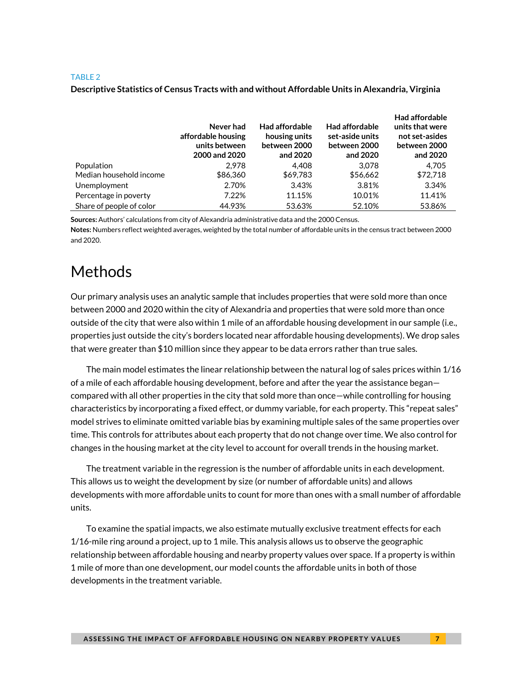### **Descriptive Statistics of Census Tracts with and without Affordable Units in Alexandria, Virginia**

|                          | Never had<br>affordable housing<br>units between<br>2000 and 2020 | <b>Had affordable</b><br>housing units<br>between 2000<br>and 2020 | <b>Had affordable</b><br>set-aside units<br>between 2000<br>and 2020 | Had affordable<br>units that were<br>not set-asides<br>between 2000<br>and 2020 |
|--------------------------|-------------------------------------------------------------------|--------------------------------------------------------------------|----------------------------------------------------------------------|---------------------------------------------------------------------------------|
| Population               | 2.978                                                             | 4.408                                                              | 3.078                                                                | 4.705                                                                           |
| Median household income  | \$86,360                                                          | \$69,783                                                           | \$56,662                                                             | \$72,718                                                                        |
| Unemployment             | 2.70%                                                             | 3.43%                                                              | 3.81%                                                                | 3.34%                                                                           |
| Percentage in poverty    | 7.22%                                                             | 11.15%                                                             | 10.01%                                                               | 11.41%                                                                          |
| Share of people of color | 44.93%                                                            | 53.63%                                                             | 52.10%                                                               | 53.86%                                                                          |

**Sources:** Authors' calculations from city of Alexandria administrative data and the 2000 Census.

**Notes:** Numbers reflect weighted averages, weighted by the total number of affordable units in the census tract between 2000 and 2020.

# Methods

Our primary analysis uses an analytic sample that includes properties that were sold more than once between 2000 and 2020 within the city of Alexandria and properties that were sold more than once outside of the city that were also within 1 mile of an affordable housing development in our sample (i.e., properties just outside the city's borders located near affordable housing developments). We drop sales that were greater than \$10 million since they appear to be data errors rather than true sales.

The main model estimates the linear relationship between the natural log of sales prices within 1/16 of a mile of each affordable housing development, before and after the year the assistance began compared with all other properties in the city that sold more than once—while controlling for housing characteristics by incorporating a fixed effect, or dummy variable, for each property. This "repeat sales" model strives to eliminate omitted variable bias by examining multiple sales of the same properties over time. This controls for attributes about each property that do not change over time. We also control for changes in the housing market at the city level to account for overall trends in the housing market.

The treatment variable in the regression is the number of affordable units in each development. This allows us to weight the development by size (or number of affordable units) and allows developments with more affordable units to count for more than ones with a small number of affordable units.

To examine the spatial impacts, we also estimate mutually exclusive treatment effects for each 1/16-mile ring around a project, up to 1 mile. This analysis allows us to observe the geographic relationship between affordable housing and nearby property values over space. If a property is within 1 mile of more than one development, our model counts the affordable units in both of those developments in the treatment variable.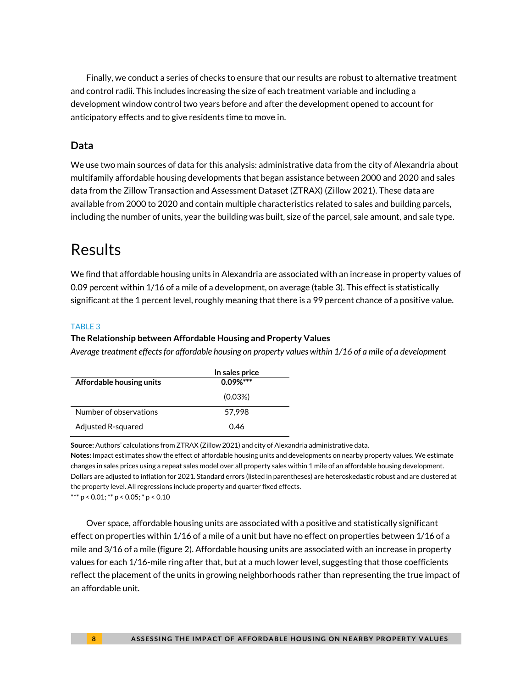Finally, we conduct a series of checks to ensure that our results are robust to alternative treatment and control radii. This includes increasing the size of each treatment variable and including a development window control two years before and after the development opened to account for anticipatory effects and to give residents time to move in.

## **Data**

We use two main sources of data for this analysis: administrative data from the city of Alexandria about multifamily affordable housing developments that began assistance between 2000 and 2020 and sales data from the Zillow Transaction and Assessment Dataset (ZTRAX) (Zillow 2021). These data are available from 2000 to 2020 and contain multiple characteristics related to sales and building parcels, including the number of units, year the building was built, size of the parcel, sale amount, and sale type.

# Results

We find that affordable housing units in Alexandria are associated with an increase in property values of 0.09 percent within 1/16 of a mile of a development, on average (table 3). This effect is statistically significant at the 1 percent level, roughly meaning that there is a 99 percent chance of a positive value.

### TABLE 3

### **The Relationship between Affordable Housing and Property Values**

*Average treatment effects for affordable housing on property values within 1/16 of a mile of a development*

|                          | In sales price |
|--------------------------|----------------|
| Affordable housing units | $0.09\%***$    |
|                          | (0.03%)        |
| Number of observations   | 57.998         |
| Adjusted R-squared       | 046            |

**Source:** Authors' calculations from ZTRAX (Zillow 2021) and city of Alexandria administrative data.

**Notes:** Impact estimates show the effect of affordable housing units and developments on nearby property values. We estimate changes in sales prices using a repeat sales model over all property sales within 1 mile of an affordable housing development. Dollars are adjusted to inflation for 2021. Standard errors (listed in parentheses) are heteroskedastic robust and are clustered at the property level. All regressions include property and quarter fixed effects.

\*\*\* p < 0.01; \*\* p < 0.05; \* p < 0.10

Over space, affordable housing units are associated with a positive and statistically significant effect on properties within 1/16 of a mile of a unit but have no effect on properties between 1/16 of a mile and 3/16 of a mile (figure 2). Affordable housing units are associated with an increase in property values for each 1/16-mile ring after that, but at a much lower level, suggesting that those coefficients reflect the placement of the units in growing neighborhoods rather than representing the true impact of an affordable unit.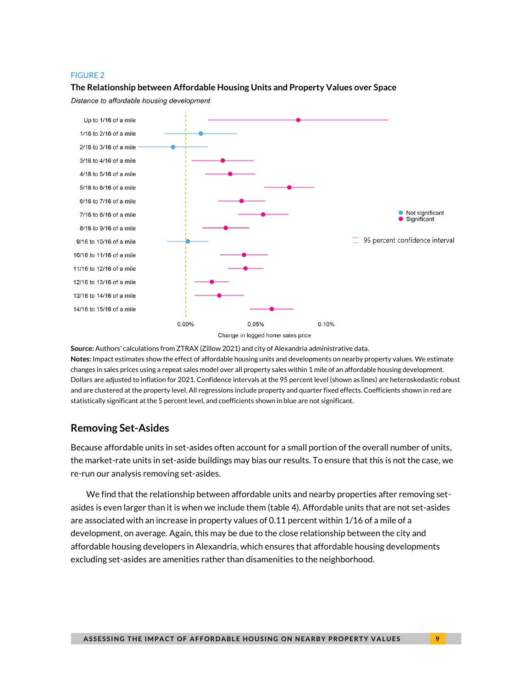#### FIGURE 2

#### **The Relationship between Affordable Housing Units and Property Values over Space**

Distance to affordable housing development



**Source:** Authors' calculations from ZTRAX (Zillow 2021) and city of Alexandria administrative data. **Notes:** Impact estimates show the effect of affordable housing units and developments on nearby property values. We estimate changes in sales prices using a repeat sales model over all property sales within 1 mile of an affordable housing development. Dollars are adjusted to inflation for 2021. Confidence intervals at the 95 percent level (shown as lines) are heteroskedastic robust and are clustered at the property level. All regressions include property and quarter fixed effects. Coefficients shown in red are statistically significant at the 5 percent level, and coefficients shown in blue are not significant.

### **Removing Set-Asides**

Because affordable units in set-asides often account for a small portion of the overall number of units, the market-rate units in set-aside buildings may bias our results. To ensure that this is not the case, we re-run our analysis removing set-asides.

We find that the relationship between affordable units and nearby properties after removing setasides is even larger than it is when we include them (table 4). Affordable units that are not set-asides are associated with an increase in property values of 0.11 percent within 1/16 of a mile of a development, on average. Again, this may be due to the close relationship between the city and affordable housing developers in Alexandria, which ensures that affordable housing developments excluding set-asides are amenities rather than disamenities to the neighborhood.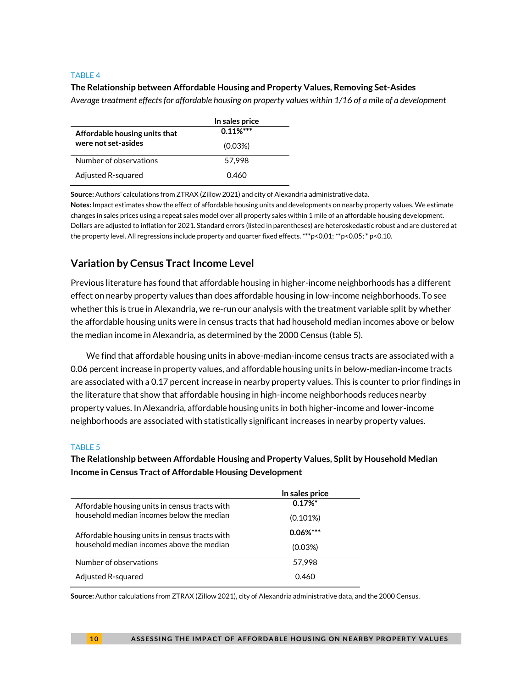#### **The Relationship between Affordable Housing and Property Values, Removing Set-Asides**

*Average treatment effects for affordable housing on property values within 1/16 of a mile of a development*

|                               | In sales price |
|-------------------------------|----------------|
| Affordable housing units that | $0.11\%***$    |
| were not set-asides           | (0.03%)        |
| Number of observations        | 57.998         |
| Adjusted R-squared            | 0.460          |

**Source:** Authors' calculations from ZTRAX (Zillow 2021) and city of Alexandria administrative data.

**Notes:** Impact estimates show the effect of affordable housing units and developments on nearby property values. We estimate changes in sales prices using a repeat sales model over all property sales within 1 mile of an affordable housing development. Dollars are adjusted to inflation for 2021. Standard errors (listed in parentheses) are heteroskedastic robust and are clustered at the property level. All regressions include property and quarter fixed effects. \*\*\*p<0.01; \*\*p<0.05; \* p<0.10.

# **Variation by Census Tract Income Level**

Previous literature has found that affordable housing in higher-income neighborhoods has a different effect on nearby property values than does affordable housing in low-income neighborhoods. To see whether this is true in Alexandria, we re-run our analysis with the treatment variable split by whether the affordable housing units were in census tracts that had household median incomes above or below the median income in Alexandria, as determined by the 2000 Census (table 5).

We find that affordable housing units in above-median-income census tracts are associated with a 0.06 percent increase in property values, and affordable housing units in below-median-income tracts are associated with a 0.17 percent increase in nearby property values. This is counter to prior findings in the literature that show that affordable housing in high-income neighborhoods reduces nearby property values. In Alexandria, affordable housing units in both higher-income and lower-income neighborhoods are associated with statistically significant increases in nearby property values.

#### TABLE 5

### **The Relationship between Affordable Housing and Property Values, Split by Household Median Income in Census Tract of Affordable Housing Development**

|                                                | In sales price |
|------------------------------------------------|----------------|
| Affordable housing units in census tracts with | 0.17%          |
| household median incomes below the median      | $(0.101\%)$    |
| Affordable housing units in census tracts with | $0.06\%***$    |
| household median incomes above the median      | (0.03%)        |
| Number of observations                         | 57.998         |
| Adjusted R-squared                             | 0.460          |

**Source:** Author calculations from ZTRAX (Zillow 2021), city of Alexandria administrative data, and the 2000 Census.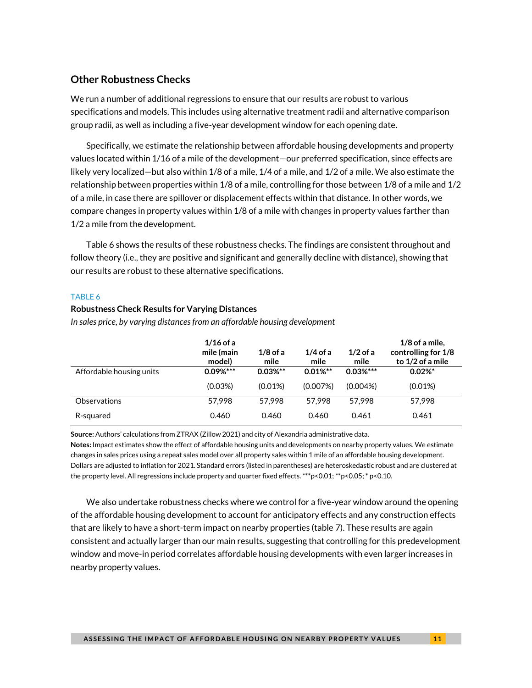### **Other Robustness Checks**

We run a number of additional regressions to ensure that our results are robust to various specifications and models. This includes using alternative treatment radii and alternative comparison group radii, as well as including a five-year development window for each opening date.

Specifically, we estimate the relationship between affordable housing developments and property values located within 1/16 of a mile of the development—our preferred specification, since effects are likely very localized—but also within 1/8 of a mile, 1/4 of a mile, and 1/2 of a mile. We also estimate the relationship between properties within 1/8 of a mile, controlling for those between 1/8 of a mile and 1/2 of a mile, in case there are spillover or displacement effects within that distance. In other words, we compare changes in property values within 1/8 of a mile with changes in property values farther than 1/2 a mile from the development.

Table 6 shows the results of these robustness checks. The findings are consistent throughout and follow theory (i.e., they are positive and significant and generally decline with distance), showing that our results are robust to these alternative specifications.

#### TABLE 6

#### **Robustness Check Results for Varying Distances**

*In sales price, by varying distances from an affordable housing development*

|                          | $1/16$ of a<br>mile (main<br>model) | $1/8$ of a<br>mile | $1/4$ of a<br>mile | $1/2$ of a<br>mile | $1/8$ of a mile,<br>controlling for 1/8<br>to 1/2 of a mile |
|--------------------------|-------------------------------------|--------------------|--------------------|--------------------|-------------------------------------------------------------|
| Affordable housing units | $0.09\%***$                         | $0.03\%**$         | $0.01\%$ **        | $0.03\%***$        | $0.02\%$ <sup>*</sup>                                       |
|                          | (0.03%)                             | $(0.01\%)$         | (0.007%)           | $(0.004\%)$        | (0.01%)                                                     |
| <b>Observations</b>      | 57.998                              | 57.998             | 57.998             | 57.998             | 57.998                                                      |
| R-squared                | 0.460                               | 0.460              | 0.460              | 0.461              | 0.461                                                       |

**Source:** Authors' calculations from ZTRAX (Zillow 2021) and city of Alexandria administrative data.

**Notes:** Impact estimates show the effect of affordable housing units and developments on nearby property values. We estimate changes in sales prices using a repeat sales model over all property sales within 1 mile of an affordable housing development. Dollars are adjusted to inflation for 2021. Standard errors (listed in parentheses) are heteroskedastic robust and are clustered at the property level. All regressions include property and quarter fixed effects. \*\*\*p<0.01; \*\*p<0.05; \* p<0.10.

We also undertake robustness checks where we control for a five-year window around the opening of the affordable housing development to account for anticipatory effects and any construction effects that are likely to have a short-term impact on nearby properties (table 7). These results are again consistent and actually larger than our main results, suggesting that controlling for this predevelopment window and move-in period correlates affordable housing developments with even larger increases in nearby property values.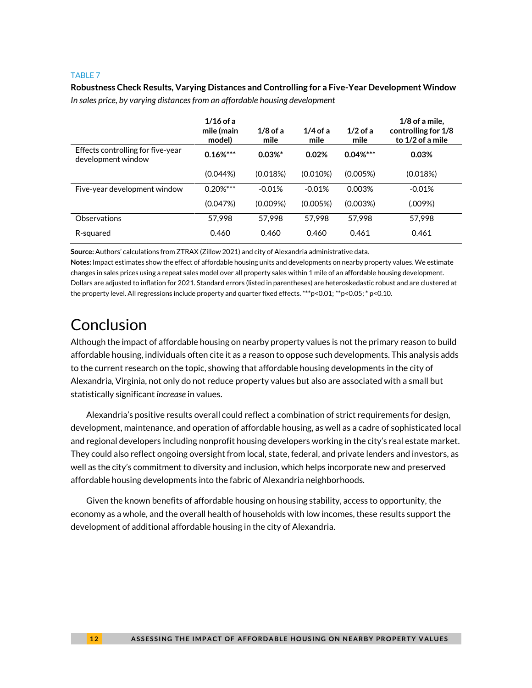**Robustness Check Results, Varying Distances and Controlling for a Five-Year Development Window** *In sales price, by varying distances from an affordable housing development*

|                                                         | $1/16$ of a<br>mile (main<br>model) | $1/8$ of a<br>mile | $1/4$ of a<br>mile | $1/2$ of a<br>mile | $1/8$ of a mile,<br>controlling for 1/8<br>to 1/2 of a mile |
|---------------------------------------------------------|-------------------------------------|--------------------|--------------------|--------------------|-------------------------------------------------------------|
| Effects controlling for five-year<br>development window | $0.16\%***$                         | $0.03%$ *          | 0.02%              | $0.04\%***$        | 0.03%                                                       |
|                                                         | (0.044%)                            | (0.018%)           | $(0.010\%)$        | (0.005%)           | (0.018%)                                                    |
| Five-year development window                            | $0.20\%***$                         | $-0.01%$           | $-0.01%$           | 0.003%             | $-0.01%$                                                    |
|                                                         | (0.047%)                            | (0.009%)           | (0.005%)           | (0.003%)           | (.009%)                                                     |
| Observations                                            | 57.998                              | 57.998             | 57.998             | 57.998             | 57.998                                                      |
| R-squared                                               | 0.460                               | 0.460              | 0.460              | 0.461              | 0.461                                                       |

**Source:** Authors' calculations from ZTRAX (Zillow 2021) and city of Alexandria administrative data.

**Notes:** Impact estimates show the effect of affordable housing units and developments on nearby property values. We estimate changes in sales prices using a repeat sales model over all property sales within 1 mile of an affordable housing development. Dollars are adjusted to inflation for 2021. Standard errors (listed in parentheses) are heteroskedastic robust and are clustered at the property level. All regressions include property and quarter fixed effects. \*\*\*p<0.01; \*\*p<0.05; \* p<0.10.

# Conclusion

Although the impact of affordable housing on nearby property values is not the primary reason to build affordable housing, individuals often cite it as a reason to oppose such developments. This analysis adds to the current research on the topic, showing that affordable housing developments in the city of Alexandria, Virginia, not only do not reduce property values but also are associated with a small but statistically significant *increase* in values.

Alexandria's positive results overall could reflect a combination of strict requirements for design, development, maintenance, and operation of affordable housing, as well as a cadre of sophisticated local and regional developers including nonprofit housing developers working in the city's real estate market. They could also reflect ongoing oversight from local, state, federal, and private lenders and investors, as well as the city's commitment to diversity and inclusion, which helps incorporate new and preserved affordable housing developments into the fabric of Alexandria neighborhoods.

Given the known benefits of affordable housing on housing stability, access to opportunity, the economy as a whole, and the overall health of households with low incomes, these results support the development of additional affordable housing in the city of Alexandria.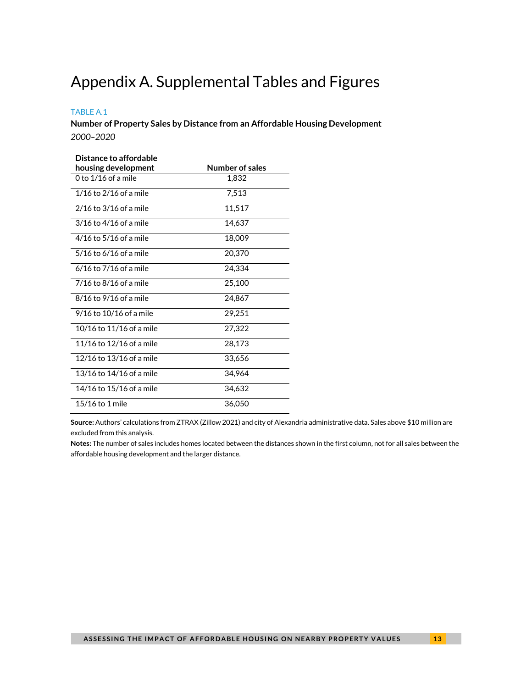# Appendix A. Supplemental Tables and Figures

### TABLE A.1

**Number of Property Sales by Distance from an Affordable Housing Development** *2000–2020*

| Distance to affordable      |                 |
|-----------------------------|-----------------|
| housing development         | Number of sales |
| 0 to $1/16$ of a mile       | 1.832           |
| $1/16$ to $2/16$ of a mile  | 7,513           |
| 2/16 to 3/16 of a mile      | 11,517          |
| 3/16 to 4/16 of a mile      | 14,637          |
| $4/16$ to $5/16$ of a mile  | 18,009          |
| $5/16$ to 6/16 of a mile    | 20,370          |
| $6/16$ to $7/16$ of a mile  | 24,334          |
| 7/16 to 8/16 of a mile      | 25,100          |
| 8/16 to 9/16 of a mile      | 24,867          |
| $9/16$ to $10/16$ of a mile | 29,251          |
| 10/16 to 11/16 of a mile    | 27,322          |
| 11/16 to 12/16 of a mile    | 28,173          |
| 12/16 to 13/16 of a mile    | 33,656          |
| 13/16 to 14/16 of a mile    | 34,964          |
| 14/16 to 15/16 of a mile    | 34,632          |
| 15/16 to 1 mile             | 36.050          |

**Source:** Authors' calculations from ZTRAX (Zillow 2021) and city of Alexandria administrative data. Sales above \$10 million are excluded from this analysis.

**Notes:** The number of sales includes homes located between the distances shown in the first column, not for all sales between the affordable housing development and the larger distance.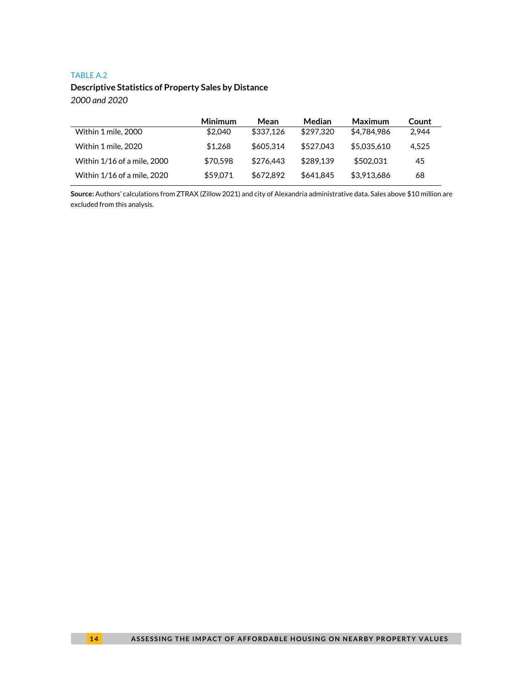#### TABLE A.2

### **Descriptive Statistics of Property Sales by Distance** *2000 and 2020*

|                             | Minimum  | Mean      | <b>Median</b> | Maximum     | Count |
|-----------------------------|----------|-----------|---------------|-------------|-------|
| Within 1 mile, 2000         | \$2,040  | \$337.126 | \$297.320     | \$4,784,986 | 2.944 |
| Within 1 mile, 2020         | \$1.268  | \$605.314 | \$527.043     | \$5,035,610 | 4.525 |
| Within 1/16 of a mile, 2000 | \$70.598 | \$276.443 | \$289.139     | \$502.031   | 45    |
| Within 1/16 of a mile, 2020 | \$59.071 | \$672,892 | \$641.845     | \$3,913,686 | 68    |

**Source:** Authors' calculations from ZTRAX (Zillow 2021) and city of Alexandria administrative data. Sales above \$10 million are excluded from this analysis.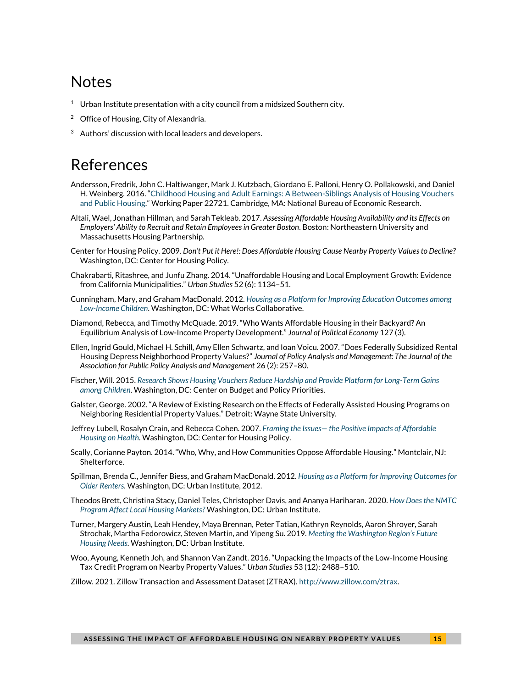# Notes

- <sup>1</sup> Urban Institute presentation with a city council from a midsized Southern city.
- <sup>2</sup> [Office](https://www.alexandriava.gov/uploadedFiles/housing/info/2017MarketAffordableReport_UpdatedJune2017.pdf) of Housing, City of Alexandria.
- $3$  Authors' discussion with local leaders and developers.

# References

- Andersson[, Fredrik,](https://www.nber.org/people/fredrik_andersson) [John C. Haltiwanger,](https://www.nber.org/people/john_haltiwanger) [Mark J. Kutzbach,](https://www.nber.org/people/mark_kutzbach) [Giordano E. Palloni,](https://www.nber.org/people/fugt6) [Henry O. Pollakowski,](https://www.nber.org/people/henry_pollakowski) and [Daniel](https://www.nber.org/people/daniel_weinberg)  [H. Weinberg](https://www.nber.org/people/daniel_weinberg). 2016. "[Childhood Housing and Adult Earnings: A Between-Siblings Analysis of Housing Vouchers](https://www.nber.org/papers/w22721)  [and Public Housing](https://www.nber.org/papers/w22721)." Working Paper 22721. Cambridge, MA: National Bureau of Economic Research.
- Altali, Wael, Jonathan Hillman, and Sarah Tekleab. 2017. *Assessing Affordable Housing Availability and its Effects on Employers' Ability to Recruit and Retain Employees in Greater Boston*. Boston: Northeastern University and Massachusetts Housing Partnership.
- Center for Housing Policy. 2009. *Don't Put it Here!: Does Affordable Housing Cause Nearby Property Values to Decline?*  Washington, DC: Center for Housing Policy.
- Chakrabarti, Ritashree, and Junfu Zhang. 2014. "Unaffordable Housing and Local Employment Growth: Evidence from California Municipalities." *Urban Studies* 52 (6): 1134–51.
- Cunningham, Mary, and Graham MacDonald. 2012. *[Housing as a Platform for Improving Education Outcomes among](https://center4affordablehousing.org/wp-content/uploads/2019/03/412554-Housing-as-a-Platform-for-Improving-Education-Outcomes-among-Low-Income-Children.pdf)  [Low-Income Children](https://center4affordablehousing.org/wp-content/uploads/2019/03/412554-Housing-as-a-Platform-for-Improving-Education-Outcomes-among-Low-Income-Children.pdf)*. Washington, DC: What Works Collaborative.
- Diamond, Rebecca, and Timothy McQuade. 2019. "Who Wants Affordable Housing in their Backyard? An Equilibrium Analysis of Low-Income Property Development." *Journal of Political Economy* 127 (3).
- Ellen, Ingrid Gould, Michael H. Schill, Amy Ellen Schwartz, and Ioan Voicu. 2007. "Does Federally Subsidized Rental Housing Depress Neighborhood Property Values?" *Journal of Policy Analysis and Management: The Journal of the Association for Public Policy Analysis and Management* 26 (2): 257–80.
- Fischer, Will. 2015. *[Research Shows Housing Vouchers Reduce Hardship and Provide Platform for Long-Term Gains](https://www.cbpp.org/research/housing/research-shows-housing-vouchers-reduce-hardship-and-provide-platform-for-long-term)  [among Children](https://www.cbpp.org/research/housing/research-shows-housing-vouchers-reduce-hardship-and-provide-platform-for-long-term)*. Washington, DC: Center on Budget and Policy Priorities.
- Galster, George. 2002. "A Review of Existing Research on the Effects of Federally Assisted Housing Programs on Neighboring Residential Property Values." Detroit: Wayne State University.
- Jeffrey Lubell, Rosalyn Crain, and Rebecca Cohen. 2007. *Framing the Issues— [the Positive Impacts of Affordable](http://citeseerx.ist.psu.edu/viewdoc/download?doi=10.1.1.370.4585&rep=rep1&type=pdf)  [Housing on Health](http://citeseerx.ist.psu.edu/viewdoc/download?doi=10.1.1.370.4585&rep=rep1&type=pdf)*. Washington, DC: Center for Housing Policy.
- Scally, Corianne Payton. 2014. "Who, Why, and How Communities Oppose Affordable Housing." Montclair, NJ: Shelterforce.
- Spillman, Brenda C., Jennifer Biess, and Graham MacDonald. 2012. *[Housing as a Platform for Improving Outcomes for](https://www.urban.org/research/publication/housing-platform-improving-outcomes-older-renters)  [Older Renters](https://www.urban.org/research/publication/housing-platform-improving-outcomes-older-renters)*. Washington, DC: Urban Institute, 2012.
- Theodos Brett, Christina Stacy, Daniel Teles, Christopher Davis, and Ananya Hariharan. 2020. *[How Does the NMTC](https://www.urban.org/research/publication/how-does-nmtc-program-affect-local-housing-markets)  [Program Affect Local Housing Markets?](https://www.urban.org/research/publication/how-does-nmtc-program-affect-local-housing-markets)* Washington, DC: Urban Institute.
- Turner, Margery Austin, Leah Hendey, Maya Brennan, Peter Tatian, Kathryn Reynolds, Aaron Shroyer, Sarah Strochak, Martha Fedorowicz, Steven Martin, and Yipeng Su. 2019. *[Meeting the Washington Region'](https://www.urban.org/research/publication/meeting-washington-regions-future-housing-needs)s Future [Housing Needs](https://www.urban.org/research/publication/meeting-washington-regions-future-housing-needs)*. Washington, DC: Urban Institute.
- Woo, Ayoung, Kenneth Joh, and Shannon Van Zandt. 2016. "Unpacking the Impacts of the Low-Income Housing Tax Credit Program on Nearby Property Values." *Urban Studies* 53 (12): 2488–510.
- Zillow. 2021. Zillow Transaction and Assessment Dataset (ZTRAX)[. http://www.zillow.com/ztrax.](http://www.zillow.com/ztrax)